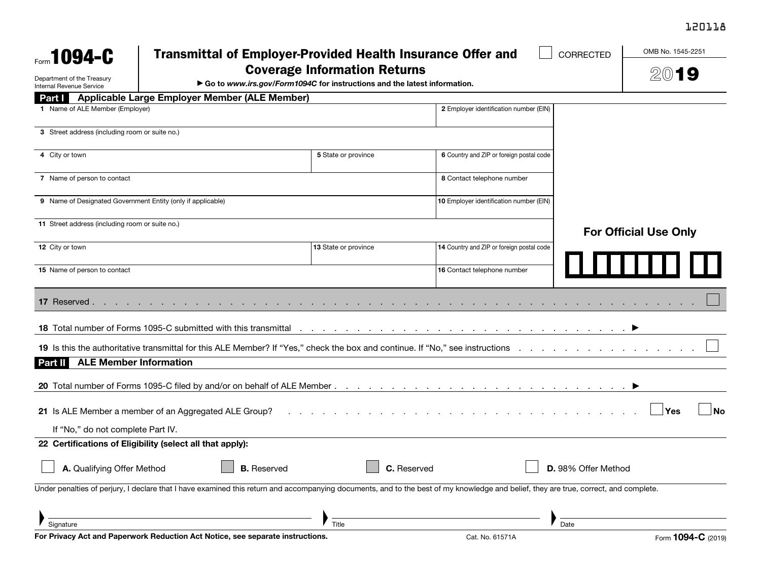## 120118

| Form 1094-C                                                               | <b>Transmittal of Employer-Provided Health Insurance Offer and</b><br>CORRECTED<br><b>Coverage Information Returns</b><br>Go to www.irs.gov/Form1094C for instructions and the latest information. |                    |                      |                                                                                                                                                                                                                                   |                     | OMB No. 1545-2251               |
|---------------------------------------------------------------------------|----------------------------------------------------------------------------------------------------------------------------------------------------------------------------------------------------|--------------------|----------------------|-----------------------------------------------------------------------------------------------------------------------------------------------------------------------------------------------------------------------------------|---------------------|---------------------------------|
|                                                                           |                                                                                                                                                                                                    |                    |                      |                                                                                                                                                                                                                                   |                     | 2019                            |
| Department of the Treasury<br>Internal Revenue Service                    |                                                                                                                                                                                                    |                    |                      |                                                                                                                                                                                                                                   |                     |                                 |
| <b>Part I</b>                                                             | <b>Applicable Large Employer Member (ALE Member)</b>                                                                                                                                               |                    |                      |                                                                                                                                                                                                                                   |                     |                                 |
| 1 Name of ALE Member (Employer)<br>2 Employer identification number (EIN) |                                                                                                                                                                                                    |                    |                      |                                                                                                                                                                                                                                   |                     |                                 |
| 3 Street address (including room or suite no.)                            |                                                                                                                                                                                                    |                    |                      |                                                                                                                                                                                                                                   |                     |                                 |
| 4 City or town                                                            |                                                                                                                                                                                                    |                    | 5 State or province  | 6 Country and ZIP or foreign postal code                                                                                                                                                                                          |                     |                                 |
| 7 Name of person to contact                                               |                                                                                                                                                                                                    |                    |                      | 8 Contact telephone number                                                                                                                                                                                                        |                     |                                 |
|                                                                           | 9 Name of Designated Government Entity (only if applicable)                                                                                                                                        |                    |                      | 10 Employer identification number (EIN)                                                                                                                                                                                           |                     |                                 |
| 11 Street address (including room or suite no.)                           |                                                                                                                                                                                                    |                    |                      |                                                                                                                                                                                                                                   |                     | <b>For Official Use Only</b>    |
| 12 City or town                                                           |                                                                                                                                                                                                    |                    | 13 State or province | 14 Country and ZIP or foreign postal code                                                                                                                                                                                         |                     |                                 |
| 15 Name of person to contact                                              |                                                                                                                                                                                                    |                    |                      | 16 Contact telephone number                                                                                                                                                                                                       |                     |                                 |
| <b>17</b> Reserved.                                                       |                                                                                                                                                                                                    |                    |                      |                                                                                                                                                                                                                                   |                     |                                 |
|                                                                           |                                                                                                                                                                                                    |                    |                      | <b>18</b> Total number of Forms 1095-C submitted with this transmittal end and the content of the content of the transmittal end of the content of the content of the Total and Total and Total and Total and Total and Total and |                     |                                 |
|                                                                           |                                                                                                                                                                                                    |                    |                      | 19 Is this the authoritative transmittal for this ALE Member? If "Yes," check the box and continue. If "No," see instructions exceptional continue. If the authoritative transmittal for this ALE Member? If "Yes," check the     |                     |                                 |
| Part II                                                                   | <b>ALE Member Information</b>                                                                                                                                                                      |                    |                      |                                                                                                                                                                                                                                   |                     |                                 |
|                                                                           |                                                                                                                                                                                                    |                    |                      |                                                                                                                                                                                                                                   |                     |                                 |
| 21 Is ALE Member a member of an Aggregated ALE Group?                     |                                                                                                                                                                                                    |                    |                      |                                                                                                                                                                                                                                   |                     | $\overline{\mathsf{No}}$<br>Yes |
| If "No," do not complete Part IV.                                         |                                                                                                                                                                                                    |                    |                      |                                                                                                                                                                                                                                   |                     |                                 |
| 22 Certifications of Eligibility (select all that apply):                 |                                                                                                                                                                                                    |                    |                      |                                                                                                                                                                                                                                   |                     |                                 |
| A. Qualifying Offer Method                                                |                                                                                                                                                                                                    | <b>B.</b> Reserved | C. Reserved          |                                                                                                                                                                                                                                   | D. 98% Offer Method |                                 |
|                                                                           |                                                                                                                                                                                                    |                    |                      | Under penalties of perjury, I declare that I have examined this return and accompanying documents, and to the best of my knowledge and belief, they are true, correct, and complete.                                              |                     |                                 |
|                                                                           |                                                                                                                                                                                                    |                    |                      |                                                                                                                                                                                                                                   |                     |                                 |
| Signature<br>$\mathbf{A}$ Dec.                                            | ala Manalangatang Angka Makt                                                                                                                                                                       |                    | Title                | $\sim$ $\cdot$ $\cdot$ $\sim$ $\cdot$ $\sim$                                                                                                                                                                                      | Date                | $\overline{10010}$              |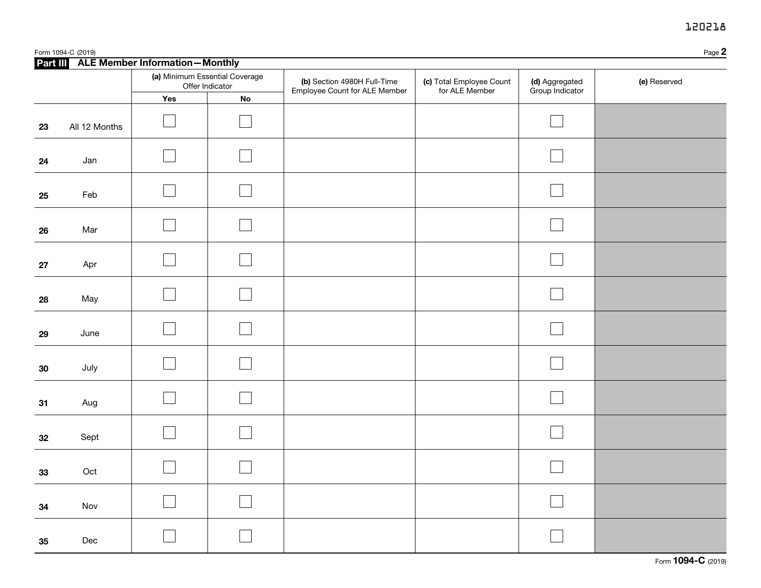## 120218

|            | Form 1094-C (2019) |                                                                                              |            |                                                              |                                            |                                   | Page 2       |
|------------|--------------------|----------------------------------------------------------------------------------------------|------------|--------------------------------------------------------------|--------------------------------------------|-----------------------------------|--------------|
|            |                    | Part III ALE Member Information-Monthly<br>(a) Minimum Essential Coverage<br>Offer Indicator |            | (b) Section 4980H Full-Time<br>Employee Count for ALE Member | (c) Total Employee Count<br>for ALE Member | (d) Aggregated<br>Group Indicator | (e) Reserved |
|            |                    | Yes                                                                                          | ${\sf No}$ |                                                              |                                            |                                   |              |
| 23         | All 12 Months      |                                                                                              |            |                                                              |                                            |                                   |              |
| 24         | Jan                |                                                                                              |            |                                                              |                                            |                                   |              |
| 25         | Feb                |                                                                                              |            |                                                              |                                            |                                   |              |
| 26         | Mar                |                                                                                              |            |                                                              |                                            |                                   |              |
| ${\bf 27}$ | Apr                |                                                                                              |            |                                                              |                                            |                                   |              |
| 28         | May                |                                                                                              |            |                                                              |                                            |                                   |              |
| 29         | June               |                                                                                              |            |                                                              |                                            |                                   |              |
| 30         | July               |                                                                                              |            |                                                              |                                            |                                   |              |
| 31         | Aug                |                                                                                              |            |                                                              |                                            |                                   |              |
| 32         | Sept               |                                                                                              |            |                                                              |                                            |                                   |              |
| 33         | Oct                |                                                                                              |            |                                                              |                                            |                                   |              |
| 34         | Nov                |                                                                                              |            |                                                              |                                            |                                   |              |
| 35         | Dec                |                                                                                              |            |                                                              |                                            |                                   |              |